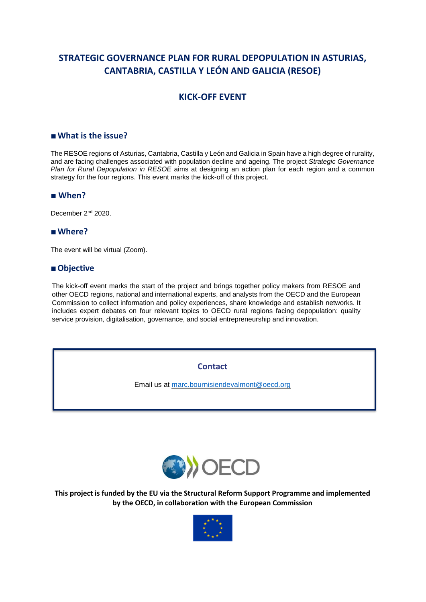# **STRATEGIC GOVERNANCE PLAN FOR RURAL DEPOPULATION IN ASTURIAS, CANTABRIA, CASTILLA Y LEÓN AND GALICIA (RESOE)**

## **KICK-OFF EVENT**

### **■What is the issue?**

The RESOE regions of Asturias, Cantabria, Castilla y León and Galicia in Spain have a high degree of rurality, and are facing challenges associated with population decline and ageing. The project *Strategic Governance Plan for Rural Depopulation in RESOE* aims at designing an action plan for each region and a common strategy for the four regions. This event marks the kick-off of this project.

#### **■ When?**

December 2<sup>nd</sup> 2020.

### **■Where?**

The event will be virtual (Zoom).

#### **■Objective**

The kick-off event marks the start of the project and brings together policy makers from RESOE and other OECD regions, national and international experts, and analysts from the OECD and the European Commission to collect information and policy experiences, share knowledge and establish networks. It includes expert debates on four relevant topics to OECD rural regions facing depopulation: quality service provision, digitalisation, governance, and social entrepreneurship and innovation.

**Contact**

Email us at [marc.bournisiendevalmont@oecd.org](mailto:marc.bournisiendevalmont@oecd.org)



**This project is funded by the EU via the Structural Reform Support Programme and implemented by the OECD, in collaboration with the European Commission**

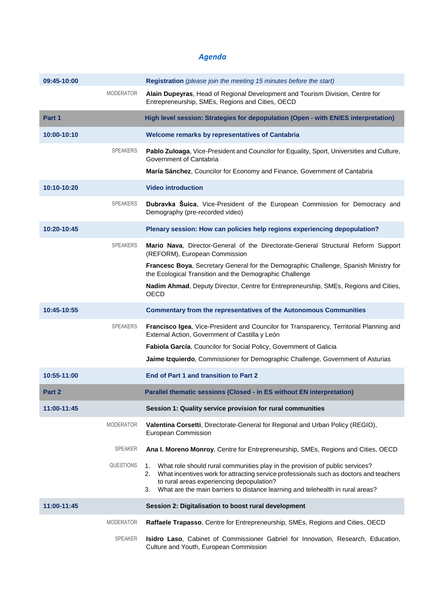# *Agenda*

| 09:45-10:00 |                  | <b>Registration</b> (please join the meeting 15 minutes before the start)                                                                                                                                                                                                                                            |
|-------------|------------------|----------------------------------------------------------------------------------------------------------------------------------------------------------------------------------------------------------------------------------------------------------------------------------------------------------------------|
|             | <b>MODERATOR</b> | Alain Dupeyras, Head of Regional Development and Tourism Division, Centre for<br>Entrepreneurship, SMEs, Regions and Cities, OECD                                                                                                                                                                                    |
| Part 1      |                  | High level session: Strategies for depopulation (Open - with EN/ES interpretation)                                                                                                                                                                                                                                   |
| 10:00-10:10 |                  | Welcome remarks by representatives of Cantabria                                                                                                                                                                                                                                                                      |
|             | <b>SPEAKERS</b>  | Pablo Zuloaga, Vice-President and Councilor for Equality, Sport, Universities and Culture,<br>Government of Cantabria                                                                                                                                                                                                |
|             |                  | María Sánchez, Councilor for Economy and Finance, Government of Cantabria                                                                                                                                                                                                                                            |
| 10:10-10:20 |                  | <b>Video introduction</b>                                                                                                                                                                                                                                                                                            |
|             | <b>SPEAKERS</b>  | Dubravka Suica, Vice-President of the European Commission for Democracy and<br>Demography (pre-recorded video)                                                                                                                                                                                                       |
| 10:20-10:45 |                  | Plenary session: How can policies help regions experiencing depopulation?                                                                                                                                                                                                                                            |
|             | <b>SPEAKERS</b>  | Mario Nava, Director-General of the Directorate-General Structural Reform Support<br>(REFORM), European Commission                                                                                                                                                                                                   |
|             |                  | Francesc Boya, Secretary General for the Demographic Challenge, Spanish Ministry for<br>the Ecological Transition and the Demographic Challenge                                                                                                                                                                      |
|             |                  | Nadim Ahmad, Deputy Director, Centre for Entrepreneurship, SMEs, Regions and Cities,<br><b>OECD</b>                                                                                                                                                                                                                  |
| 10:45-10:55 |                  | <b>Commentary from the representatives of the Autonomous Communities</b>                                                                                                                                                                                                                                             |
|             | <b>SPEAKERS</b>  | Francisco Igea, Vice-President and Councilor for Transparency, Territorial Planning and<br>External Action, Government of Castilla y León                                                                                                                                                                            |
|             |                  | Fabiola García, Councilor for Social Policy, Government of Galicia                                                                                                                                                                                                                                                   |
|             |                  | Jaime Izquierdo, Commissioner for Demographic Challenge, Government of Asturias                                                                                                                                                                                                                                      |
| 10:55-11:00 |                  | End of Part 1 and transition to Part 2                                                                                                                                                                                                                                                                               |
| Part 2      |                  | Parallel thematic sessions (Closed - in ES without EN interpretation)                                                                                                                                                                                                                                                |
| 11:00-11:45 |                  | Session 1: Quality service provision for rural communities                                                                                                                                                                                                                                                           |
|             | <b>MODERATOR</b> | Valentina Corsetti, Directorate-General for Regional and Urban Policy (REGIO),<br>European Commission                                                                                                                                                                                                                |
|             | <b>SPEAKER</b>   | Ana I. Moreno Monroy, Centre for Entrepreneurship, SMEs, Regions and Cities, OECD                                                                                                                                                                                                                                    |
|             | <b>QUESTIONS</b> | What role should rural communities play in the provision of public services?<br>1.<br>2. What incentives work for attracting service professionals such as doctors and teachers<br>to rural areas experiencing depopulation?<br>What are the main barriers to distance learning and telehealth in rural areas?<br>3. |
| 11:00-11:45 |                  | Session 2: Digitalisation to boost rural development                                                                                                                                                                                                                                                                 |
|             | <b>MODERATOR</b> | Raffaele Trapasso, Centre for Entrepreneurship, SMEs, Regions and Cities, OECD                                                                                                                                                                                                                                       |
|             | <b>SPEAKER</b>   | Isidro Laso, Cabinet of Commissioner Gabriel for Innovation, Research, Education,<br>Culture and Youth, European Commission                                                                                                                                                                                          |